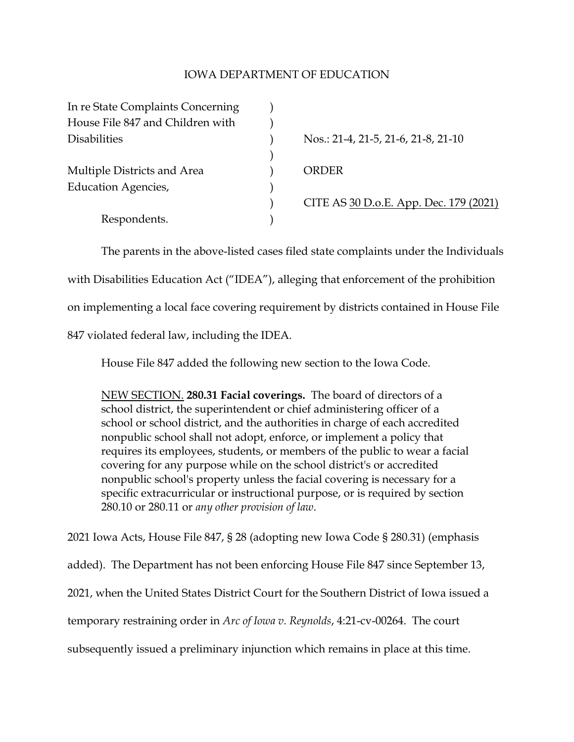## IOWA DEPARTMENT OF EDUCATION

| In re State Complaints Concerning |                                        |
|-----------------------------------|----------------------------------------|
| House File 847 and Children with  |                                        |
| <b>Disabilities</b>               | Nos.: 21-4, 21-5, 21-6, 21-8, 21-10    |
|                                   |                                        |
| Multiple Districts and Area       | ORDER                                  |
| Education Agencies,               |                                        |
|                                   | CITE AS 30 D.o.E. App. Dec. 179 (2021) |
| Respondents.                      |                                        |

The parents in the above-listed cases filed state complaints under the Individuals with Disabilities Education Act ("IDEA"), alleging that enforcement of the prohibition on implementing a local face covering requirement by districts contained in House File 847 violated federal law, including the IDEA.

House File 847 added the following new section to the Iowa Code.

NEW SECTION. **280.31 Facial coverings.** The board of directors of a school district, the superintendent or chief administering officer of a school or school district, and the authorities in charge of each accredited nonpublic school shall not adopt, enforce, or implement a policy that requires its employees, students, or members of the public to wear a facial covering for any purpose while on the school district's or accredited nonpublic school's property unless the facial covering is necessary for a specific extracurricular or instructional purpose, or is required by section 280.10 or 280.11 or *any other provision of law*.

2021 Iowa Acts, House File 847, § 28 (adopting new Iowa Code § 280.31) (emphasis added). The Department has not been enforcing House File 847 since September 13, 2021, when the United States District Court for the Southern District of Iowa issued a temporary restraining order in *Arc of Iowa v. Reynolds*, 4:21-cv-00264. The court subsequently issued a preliminary injunction which remains in place at this time.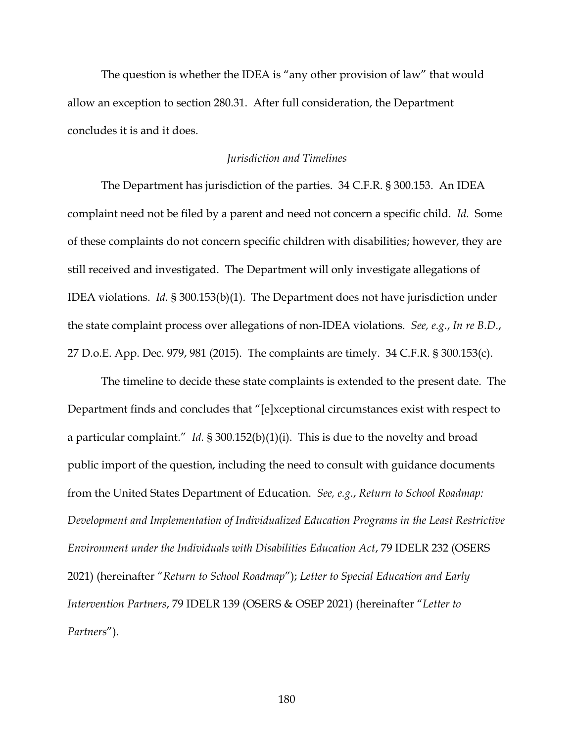The question is whether the IDEA is "any other provision of law" that would allow an exception to section 280.31. After full consideration, the Department concludes it is and it does.

#### *Jurisdiction and Timelines*

The Department has jurisdiction of the parties. 34 C.F.R. § 300.153. An IDEA complaint need not be filed by a parent and need not concern a specific child. *Id.* Some of these complaints do not concern specific children with disabilities; however, they are still received and investigated. The Department will only investigate allegations of IDEA violations. *Id.* § 300.153(b)(1). The Department does not have jurisdiction under the state complaint process over allegations of non-IDEA violations. *See, e.g.*, *In re B.D.*, 27 D.o.E. App. Dec. 979, 981 (2015). The complaints are timely. 34 C.F.R. § 300.153(c).

The timeline to decide these state complaints is extended to the present date. The Department finds and concludes that "[e]xceptional circumstances exist with respect to a particular complaint." *Id.* § 300.152(b)(1)(i). This is due to the novelty and broad public import of the question, including the need to consult with guidance documents from the United States Department of Education. *See, e.g.*, *Return to School Roadmap: Development and Implementation of Individualized Education Programs in the Least Restrictive Environment under the Individuals with Disabilities Education Act*, 79 IDELR 232 (OSERS 2021) (hereinafter "*Return to School Roadmap*"); *Letter to Special Education and Early Intervention Partners*, 79 IDELR 139 (OSERS & OSEP 2021) (hereinafter "*Letter to Partners*").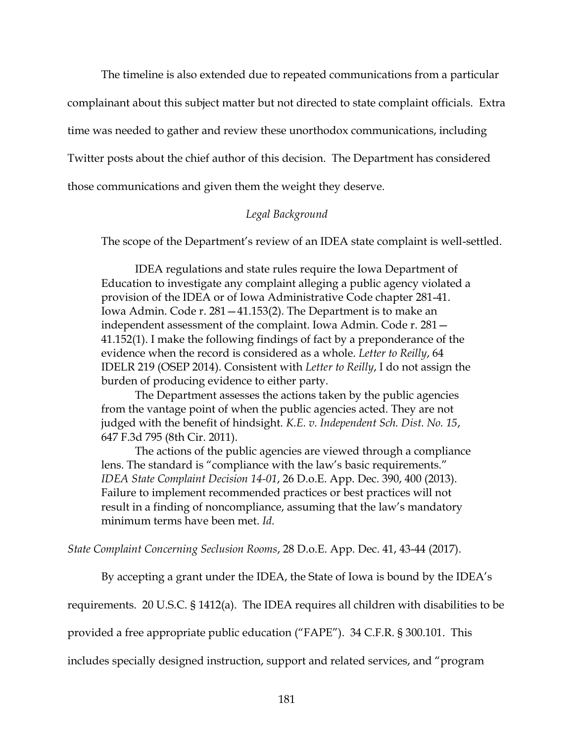The timeline is also extended due to repeated communications from a particular complainant about this subject matter but not directed to state complaint officials. Extra time was needed to gather and review these unorthodox communications, including Twitter posts about the chief author of this decision. The Department has considered those communications and given them the weight they deserve.

# *Legal Background*

The scope of the Department's review of an IDEA state complaint is well-settled.

IDEA regulations and state rules require the Iowa Department of Education to investigate any complaint alleging a public agency violated a provision of the IDEA or of Iowa Administrative Code chapter 281-41. Iowa Admin. Code r. 281—41.153(2). The Department is to make an independent assessment of the complaint. Iowa Admin. Code r. 281— 41.152(1). I make the following findings of fact by a preponderance of the evidence when the record is considered as a whole. *Letter to Reilly*, 64 IDELR 219 (OSEP 2014). Consistent with *Letter to Reilly*, I do not assign the burden of producing evidence to either party.

The Department assesses the actions taken by the public agencies from the vantage point of when the public agencies acted. They are not judged with the benefit of hindsight. *K.E. v. Independent Sch. Dist. No. 15*, 647 F.3d 795 (8th Cir. 2011).

The actions of the public agencies are viewed through a compliance lens. The standard is "compliance with the law's basic requirements." *IDEA State Complaint Decision 14-01*, 26 D.o.E. App. Dec. 390, 400 (2013). Failure to implement recommended practices or best practices will not result in a finding of noncompliance, assuming that the law's mandatory minimum terms have been met. *Id.*

*State Complaint Concerning Seclusion Rooms*, 28 D.o.E. App. Dec. 41, 43-44 (2017).

By accepting a grant under the IDEA, the State of Iowa is bound by the IDEA's

requirements. 20 U.S.C. § 1412(a). The IDEA requires all children with disabilities to be

provided a free appropriate public education ("FAPE"). 34 C.F.R. § 300.101. This

includes specially designed instruction, support and related services, and "program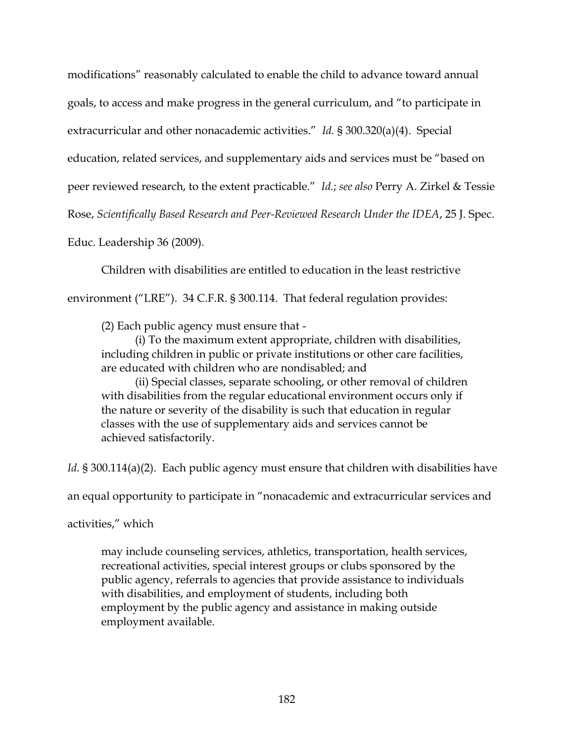modifications" reasonably calculated to enable the child to advance toward annual goals, to access and make progress in the general curriculum, and "to participate in extracurricular and other nonacademic activities." *Id.* § 300.320(a)(4). Special education, related services, and supplementary aids and services must be "based on peer reviewed research, to the extent practicable." *Id.*; *see also* Perry A. Zirkel & Tessie Rose, *Scientifically Based Research and Peer-Reviewed Research Under the IDEA*, 25 J. Spec. Educ. Leadership 36 (2009).

Children with disabilities are entitled to education in the least restrictive environment ("LRE"). 34 C.F.R. § 300.114. That federal regulation provides:

(2) Each public agency must ensure that -

(i) To the maximum extent appropriate, children with disabilities, including children in public or private institutions or other care facilities, are educated with children who are nondisabled; and

(ii) Special classes, separate schooling, or other removal of children with disabilities from the regular educational environment occurs only if the nature or severity of the disability is such that education in regular classes with the use of supplementary aids and services cannot be achieved satisfactorily.

*Id.* § 300.114(a)(2). Each public agency must ensure that children with disabilities have

an equal opportunity to participate in "nonacademic and extracurricular services and

activities," which

may include counseling services, athletics, transportation, health services, recreational activities, special interest groups or clubs sponsored by the public agency, referrals to agencies that provide assistance to individuals with disabilities, and employment of students, including both employment by the public agency and assistance in making outside employment available.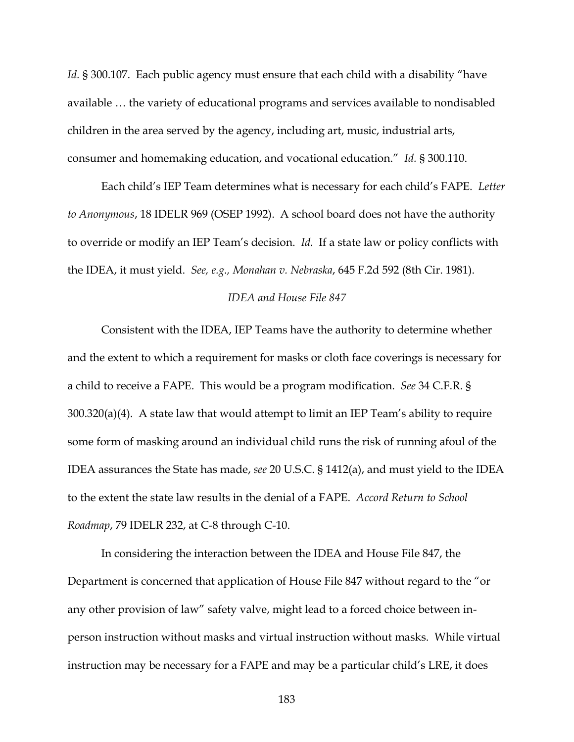*Id.* § 300.107. Each public agency must ensure that each child with a disability "have available … the variety of educational programs and services available to nondisabled children in the area served by the agency, including art, music, industrial arts, consumer and homemaking education, and vocational education." *Id.* § 300.110.

Each child's IEP Team determines what is necessary for each child's FAPE. *Letter to Anonymous*, 18 IDELR 969 (OSEP 1992). A school board does not have the authority to override or modify an IEP Team's decision. *Id.* If a state law or policy conflicts with the IDEA, it must yield. *See, e.g., Monahan v. Nebraska*, 645 F.2d 592 (8th Cir. 1981).

## *IDEA and House File 847*

Consistent with the IDEA, IEP Teams have the authority to determine whether and the extent to which a requirement for masks or cloth face coverings is necessary for a child to receive a FAPE. This would be a program modification. *See* 34 C.F.R. § 300.320(a)(4). A state law that would attempt to limit an IEP Team's ability to require some form of masking around an individual child runs the risk of running afoul of the IDEA assurances the State has made, *see* 20 U.S.C. § 1412(a), and must yield to the IDEA to the extent the state law results in the denial of a FAPE. *Accord Return to School Roadmap*, 79 IDELR 232, at C-8 through C-10.

In considering the interaction between the IDEA and House File 847, the Department is concerned that application of House File 847 without regard to the "or any other provision of law" safety valve, might lead to a forced choice between inperson instruction without masks and virtual instruction without masks. While virtual instruction may be necessary for a FAPE and may be a particular child's LRE, it does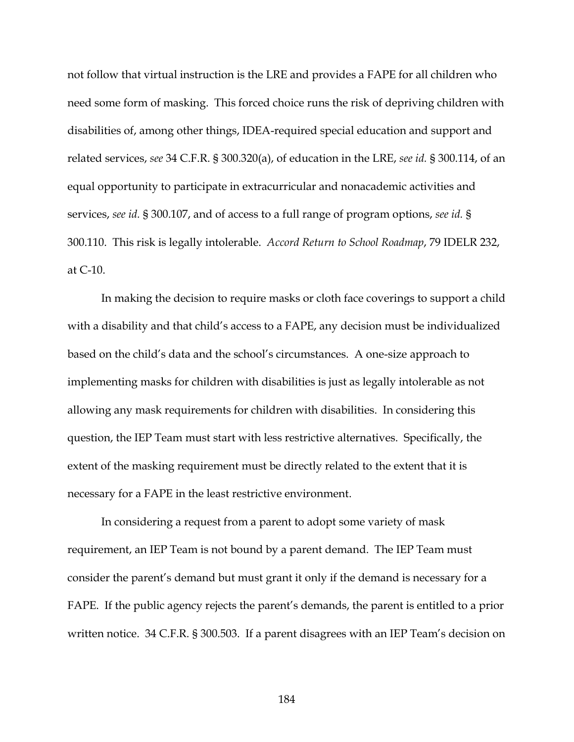not follow that virtual instruction is the LRE and provides a FAPE for all children who need some form of masking. This forced choice runs the risk of depriving children with disabilities of, among other things, IDEA-required special education and support and related services, *see* 34 C.F.R. § 300.320(a), of education in the LRE, *see id.* § 300.114, of an equal opportunity to participate in extracurricular and nonacademic activities and services, *see id.* § 300.107, and of access to a full range of program options, *see id.* § 300.110. This risk is legally intolerable. *Accord Return to School Roadmap*, 79 IDELR 232, at C-10.

In making the decision to require masks or cloth face coverings to support a child with a disability and that child's access to a FAPE, any decision must be individualized based on the child's data and the school's circumstances. A one-size approach to implementing masks for children with disabilities is just as legally intolerable as not allowing any mask requirements for children with disabilities. In considering this question, the IEP Team must start with less restrictive alternatives. Specifically, the extent of the masking requirement must be directly related to the extent that it is necessary for a FAPE in the least restrictive environment.

In considering a request from a parent to adopt some variety of mask requirement, an IEP Team is not bound by a parent demand. The IEP Team must consider the parent's demand but must grant it only if the demand is necessary for a FAPE. If the public agency rejects the parent's demands, the parent is entitled to a prior written notice. 34 C.F.R. § 300.503. If a parent disagrees with an IEP Team's decision on

184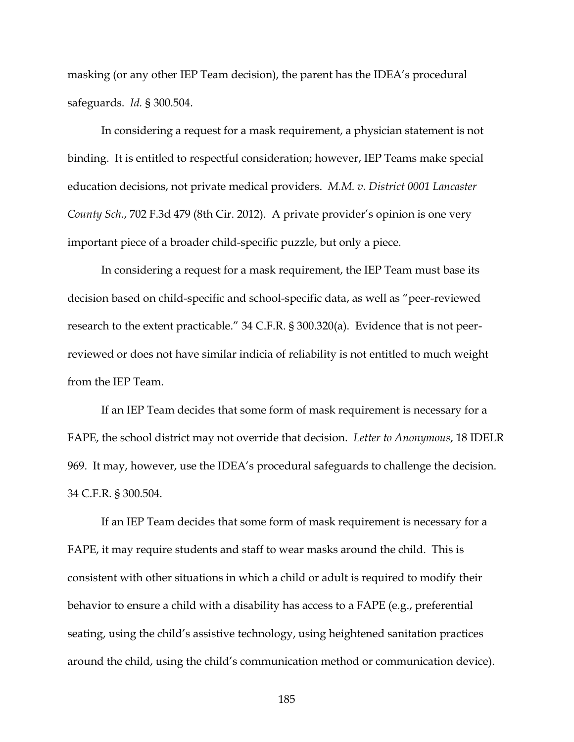masking (or any other IEP Team decision), the parent has the IDEA's procedural safeguards. *Id.* § 300.504.

In considering a request for a mask requirement, a physician statement is not binding. It is entitled to respectful consideration; however, IEP Teams make special education decisions, not private medical providers. *M.M. v. District 0001 Lancaster County Sch.*, 702 F.3d 479 (8th Cir. 2012). A private provider's opinion is one very important piece of a broader child-specific puzzle, but only a piece.

In considering a request for a mask requirement, the IEP Team must base its decision based on child-specific and school-specific data, as well as "peer-reviewed research to the extent practicable." 34 C.F.R. § 300.320(a). Evidence that is not peerreviewed or does not have similar indicia of reliability is not entitled to much weight from the IEP Team.

If an IEP Team decides that some form of mask requirement is necessary for a FAPE, the school district may not override that decision. *Letter to Anonymous*, 18 IDELR 969. It may, however, use the IDEA's procedural safeguards to challenge the decision. 34 C.F.R. § 300.504.

If an IEP Team decides that some form of mask requirement is necessary for a FAPE, it may require students and staff to wear masks around the child. This is consistent with other situations in which a child or adult is required to modify their behavior to ensure a child with a disability has access to a FAPE (e.g., preferential seating, using the child's assistive technology, using heightened sanitation practices around the child, using the child's communication method or communication device).

185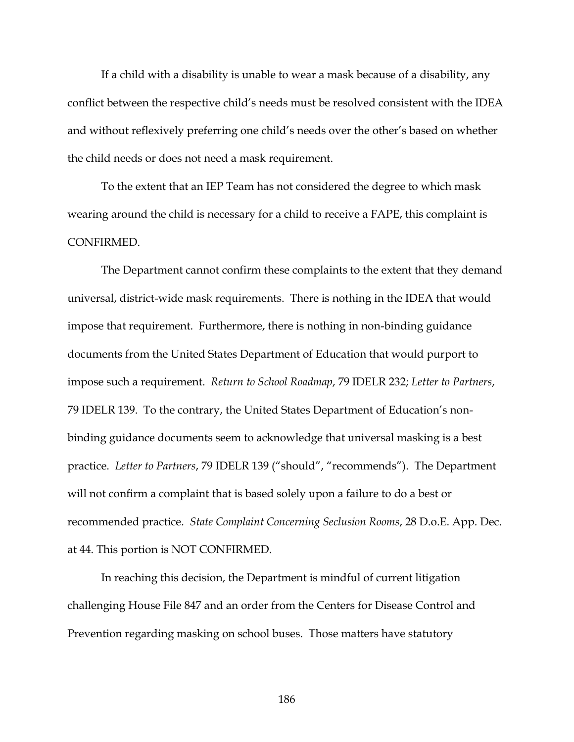If a child with a disability is unable to wear a mask because of a disability, any conflict between the respective child's needs must be resolved consistent with the IDEA and without reflexively preferring one child's needs over the other's based on whether the child needs or does not need a mask requirement.

To the extent that an IEP Team has not considered the degree to which mask wearing around the child is necessary for a child to receive a FAPE, this complaint is CONFIRMED.

The Department cannot confirm these complaints to the extent that they demand universal, district-wide mask requirements. There is nothing in the IDEA that would impose that requirement. Furthermore, there is nothing in non-binding guidance documents from the United States Department of Education that would purport to impose such a requirement. *Return to School Roadmap*, 79 IDELR 232; *Letter to Partners*, 79 IDELR 139. To the contrary, the United States Department of Education's nonbinding guidance documents seem to acknowledge that universal masking is a best practice. *Letter to Partners*, 79 IDELR 139 ("should", "recommends"). The Department will not confirm a complaint that is based solely upon a failure to do a best or recommended practice. *State Complaint Concerning Seclusion Rooms*, 28 D.o.E. App. Dec. at 44. This portion is NOT CONFIRMED.

In reaching this decision, the Department is mindful of current litigation challenging House File 847 and an order from the Centers for Disease Control and Prevention regarding masking on school buses. Those matters have statutory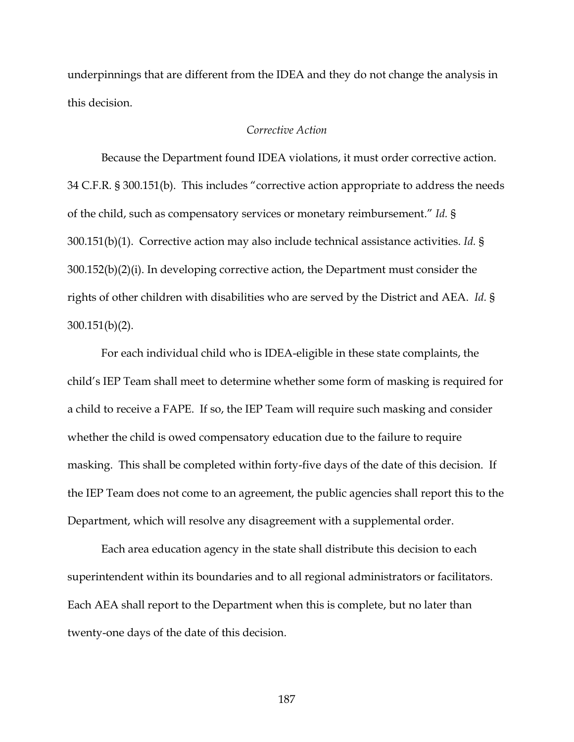underpinnings that are different from the IDEA and they do not change the analysis in this decision.

### *Corrective Action*

Because the Department found IDEA violations, it must order corrective action. 34 C.F.R. § 300.151(b). This includes "corrective action appropriate to address the needs of the child, such as compensatory services or monetary reimbursement." *Id.* § 300.151(b)(1). Corrective action may also include technical assistance activities. *Id.* § 300.152(b)(2)(i). In developing corrective action, the Department must consider the rights of other children with disabilities who are served by the District and AEA. *Id.* § 300.151(b)(2).

For each individual child who is IDEA-eligible in these state complaints, the child's IEP Team shall meet to determine whether some form of masking is required for a child to receive a FAPE. If so, the IEP Team will require such masking and consider whether the child is owed compensatory education due to the failure to require masking. This shall be completed within forty-five days of the date of this decision. If the IEP Team does not come to an agreement, the public agencies shall report this to the Department, which will resolve any disagreement with a supplemental order.

Each area education agency in the state shall distribute this decision to each superintendent within its boundaries and to all regional administrators or facilitators. Each AEA shall report to the Department when this is complete, but no later than twenty-one days of the date of this decision.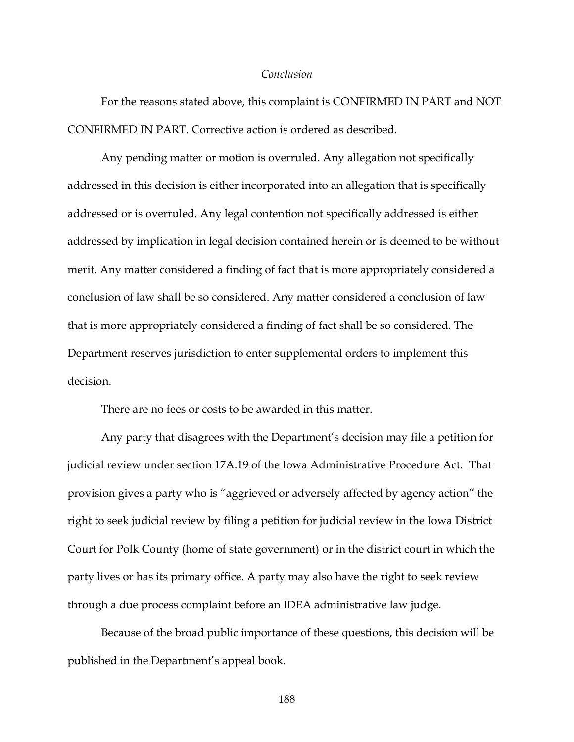#### *Conclusion*

For the reasons stated above, this complaint is CONFIRMED IN PART and NOT CONFIRMED IN PART. Corrective action is ordered as described.

Any pending matter or motion is overruled. Any allegation not specifically addressed in this decision is either incorporated into an allegation that is specifically addressed or is overruled. Any legal contention not specifically addressed is either addressed by implication in legal decision contained herein or is deemed to be without merit. Any matter considered a finding of fact that is more appropriately considered a conclusion of law shall be so considered. Any matter considered a conclusion of law that is more appropriately considered a finding of fact shall be so considered. The Department reserves jurisdiction to enter supplemental orders to implement this decision.

There are no fees or costs to be awarded in this matter.

Any party that disagrees with the Department's decision may file a petition for judicial review under section 17A.19 of the Iowa Administrative Procedure Act. That provision gives a party who is "aggrieved or adversely affected by agency action" the right to seek judicial review by filing a petition for judicial review in the Iowa District Court for Polk County (home of state government) or in the district court in which the party lives or has its primary office. A party may also have the right to seek review through a due process complaint before an IDEA administrative law judge.

Because of the broad public importance of these questions, this decision will be published in the Department's appeal book.